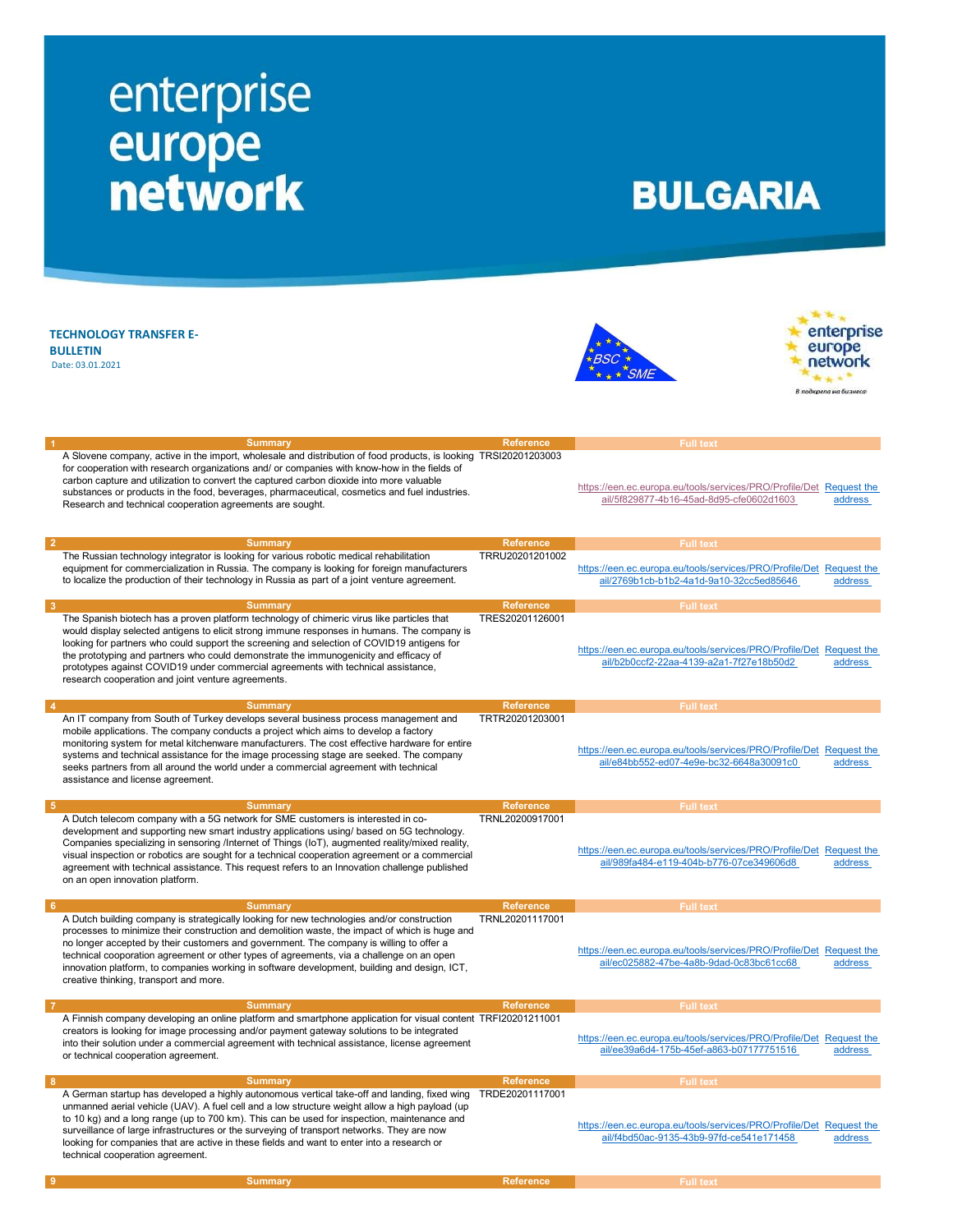## enterprise<br>
europe<br>
network

## **BULGARIA**

| <b>TECHNOLOGY TRANSFER E-</b><br><b>BULLETIN</b><br>Date: 03.01.2021                                                                                                                                                                                                                                                                                                                                                                                                                                                          |                  |                                                                                                                 | enterprise<br>europe<br>В подкрела на бизнесс |
|-------------------------------------------------------------------------------------------------------------------------------------------------------------------------------------------------------------------------------------------------------------------------------------------------------------------------------------------------------------------------------------------------------------------------------------------------------------------------------------------------------------------------------|------------------|-----------------------------------------------------------------------------------------------------------------|-----------------------------------------------|
| <b>Summary</b><br>$\overline{1}$                                                                                                                                                                                                                                                                                                                                                                                                                                                                                              | <b>Reference</b> | <b>Full text</b>                                                                                                |                                               |
| A Slovene company, active in the import, wholesale and distribution of food products, is looking TRSI20201203003<br>for cooperation with research organizations and/ or companies with know-how in the fields of<br>carbon capture and utilization to convert the captured carbon dioxide into more valuable<br>substances or products in the food, beverages, pharmaceutical, cosmetics and fuel industries.<br>Research and technical cooperation agreements are sought.                                                    |                  | https://een.ec.europa.eu/tools/services/PRO/Profile/Det Request the<br>ail/5f829877-4b16-45ad-8d95-cfe0602d1603 | address                                       |
| $\overline{2}$<br><b>Summary</b>                                                                                                                                                                                                                                                                                                                                                                                                                                                                                              | <b>Reference</b> | <b>Full text</b>                                                                                                |                                               |
| The Russian technology integrator is looking for various robotic medical rehabilitation                                                                                                                                                                                                                                                                                                                                                                                                                                       | TRRU20201201002  |                                                                                                                 |                                               |
| equipment for commercialization in Russia. The company is looking for foreign manufacturers                                                                                                                                                                                                                                                                                                                                                                                                                                   |                  | https://een.ec.europa.eu/tools/services/PRO/Profile/Det Request the                                             |                                               |
| to localize the production of their technology in Russia as part of a joint venture agreement.                                                                                                                                                                                                                                                                                                                                                                                                                                |                  | ail/2769b1cb-b1b2-4a1d-9a10-32cc5ed85646                                                                        | address                                       |
|                                                                                                                                                                                                                                                                                                                                                                                                                                                                                                                               |                  |                                                                                                                 |                                               |
|                                                                                                                                                                                                                                                                                                                                                                                                                                                                                                                               |                  |                                                                                                                 |                                               |
| 3<br><b>Summary</b>                                                                                                                                                                                                                                                                                                                                                                                                                                                                                                           | <b>Reference</b> | <b>Full text</b>                                                                                                |                                               |
| The Spanish biotech has a proven platform technology of chimeric virus like particles that<br>would display selected antigens to elicit strong immune responses in humans. The company is<br>looking for partners who could support the screening and selection of COVID19 antigens for<br>the prototyping and partners who could demonstrate the immunogenicity and efficacy of<br>prototypes against COVID19 under commercial agreements with technical assistance,<br>research cooperation and joint venture agreements.   | TRES20201126001  | https://een.ec.europa.eu/tools/services/PRO/Profile/Det Request the<br>ail/b2b0ccf2-22aa-4139-a2a1-7f27e18b50d2 | address                                       |
| $\overline{4}$<br><b>Summary</b>                                                                                                                                                                                                                                                                                                                                                                                                                                                                                              | <b>Reference</b> | <b>Full text</b>                                                                                                |                                               |
| An IT company from South of Turkey develops several business process management and<br>mobile applications. The company conducts a project which aims to develop a factory<br>monitoring system for metal kitchenware manufacturers. The cost effective hardware for entire<br>systems and technical assistance for the image processing stage are seeked. The company<br>seeks partners from all around the world under a commercial agreement with technical<br>assistance and license agreement.                           | TRTR20201203001  | https://een.ec.europa.eu/tools/services/PRO/Profile/Det Request the<br>ail/e84bb552-ed07-4e9e-bc32-6648a30091c0 | address                                       |
| <b>Summary</b><br>- 5                                                                                                                                                                                                                                                                                                                                                                                                                                                                                                         | <b>Reference</b> | <b>Full text</b>                                                                                                |                                               |
| A Dutch telecom company with a 5G network for SME customers is interested in co-<br>development and supporting new smart industry applications using/ based on 5G technology.<br>Companies specializing in sensoring /Internet of Things (IoT), augmented reality/mixed reality,<br>visual inspection or robotics are sought for a technical cooperation agreement or a commercial<br>agreement with technical assistance. This request refers to an Innovation challenge published<br>on an open innovation platform.        | TRNL20200917001  | https://een.ec.europa.eu/tools/services/PRO/Profile/Det Request the<br>ail/989fa484-e119-404b-b776-07ce349606d8 | address                                       |
| $6\overline{6}$<br><b>Summary</b>                                                                                                                                                                                                                                                                                                                                                                                                                                                                                             | <b>Reference</b> | <b>Full text</b>                                                                                                |                                               |
| A Dutch building company is strategically looking for new technologies and/or construction<br>processes to minimize their construction and demolition waste, the impact of which is huge and<br>no longer accepted by their customers and government. The company is willing to offer a<br>technical cooporation agreement or other types of agreements, via a challenge on an open<br>innovation platform, to companies working in software development, building and design, ICT,<br>creative thinking, transport and more. | TRNL20201117001  | https://een.ec.europa.eu/tools/services/PRO/Profile/Det Request the<br>ail/ec025882-47be-4a8b-9dad-0c83bc61cc68 | address                                       |
| <b>Summary</b>                                                                                                                                                                                                                                                                                                                                                                                                                                                                                                                | <b>Reference</b> | <b>Full text</b>                                                                                                |                                               |
| A Finnish company developing an online platform and smartphone application for visual content TRFI20201211001<br>creators is looking for image processing and/or payment gateway solutions to be integrated<br>into their solution under a commercial agreement with technical assistance, license agreement<br>or technical cooperation agreement.                                                                                                                                                                           |                  | https://een.ec.europa.eu/tools/services/PRO/Profile/Det Request the<br>ail/ee39a6d4-175b-45ef-a863-b07177751516 | address                                       |
| 8<br><b>Summary</b>                                                                                                                                                                                                                                                                                                                                                                                                                                                                                                           | <b>Reference</b> | <b>Full text</b>                                                                                                |                                               |
| A German startup has developed a highly autonomous vertical take-off and landing, fixed wing<br>unmanned aerial vehicle (UAV). A fuel cell and a low structure weight allow a high payload (up<br>to 10 kg) and a long range (up to 700 km). This can be used for inspection, maintenance and<br>surveillance of large infrastructures or the surveying of transport networks. They are now<br>looking for companies that are active in these fields and want to enter into a research or<br>technical cooperation agreement. | TRDE20201117001  | https://een.ec.europa.eu/tools/services/PRO/Profile/Det Request the<br>ail/f4bd50ac-9135-43b9-97fd-ce541e171458 | address                                       |

9 Summary Reference Full text Full text (Summary Reference Full text (Summary Reference Full text (Summary Reference  $R$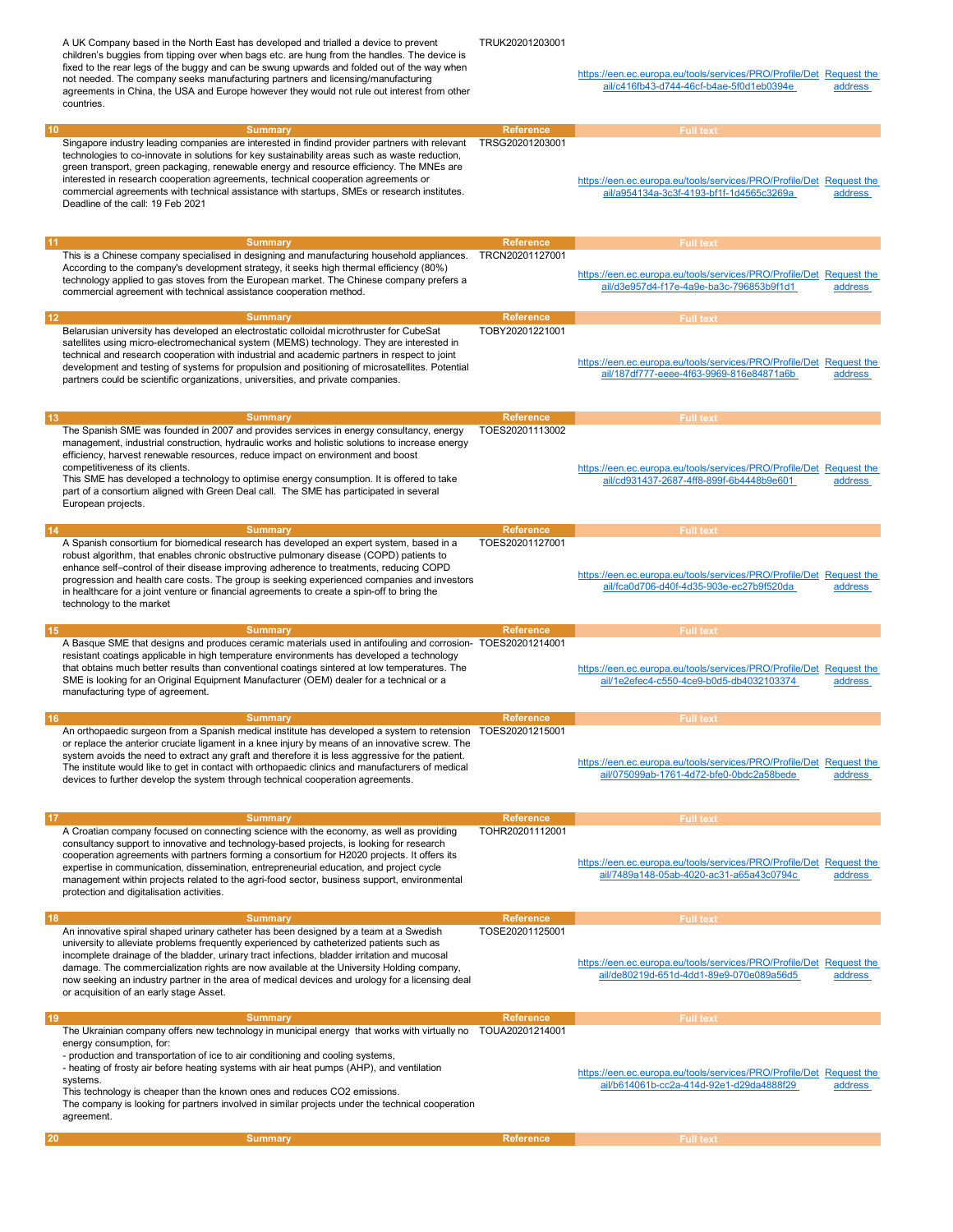A UK Company based in the North East has developed and trialled a device to prevent children's buggies from tipping over when bags etc. are hung from the handles. The device is fixed to the rear legs of the buggy and can be swung upwards and folded out of the way when not needed. The company seeks manufacturing partners and licensing/manufacturing agreements in China, the USA and Europe however they would not rule out interest from other countries. TRUK20201203001 https://een.ec.europa.eu/tools/services/PRO/Profile/Det Request the ail/c416fb43-d744-46cf-b4ae-5f0d1eb0394e address 10 Summary Reference Reference Full text Full text (Reference Reference Reference Reference Reference Reference Singapore industry leading companies are interested in findind provider partners with relevant technologies to co-innovate in solutions for key sustainability areas such as waste reduction, green transport, green packaging, renewable energy and resource efficiency. The MNEs are interested in research cooperation agreements, technical cooperation agreements or commercial agreements with technical assistance with startups, SMEs or research institutes. Deadline of the call: 19 Feb 2021 TRSG20201203001 https://een.ec.europa.eu/tools/services/PRO/Profile/Det Request the ail/a954134a-3c3f-4193-bf1f-1d4565c3269a address 11 Summary Reference Reference Full text Full text (November 2001) and the Reference Reference  $\sim$  Full text This is a Chinese company specialised in designing and manufacturing household appliances. According to the company's development strategy, it seeks high thermal efficiency (80%) technology applied to gas stoves from the European market. The Chinese company prefers a commercial agreement with technical assistance cooperation method. TRCN20201127001 https://een.ec.europa.eu/tools/services/PRO/Profile/Det Request the ail/d3e957d4-f17e-4a9e-ba3c-796853b9f1d1 address 12 Summary Reference Reference Full text Full text (Reference Reference Reference Reference Reference Reference Belarusian university has developed an electrostatic colloidal microthruster for CubeSat satellites using micro-electromechanical system (MEMS) technology. They are interested in technical and research cooperation with industrial and academic partners in respect to joint development and testing of systems for propulsion and positioning of microsatellites. Potential partners could be scientific organizations, universities, and private companies. TOBY20201221001 https://een.ec.europa.eu/tools/services/PRO/Profile/Det Request the ail/187df777-eeee-4f63-9969-816e84871a6b address 13 Summary Reference Full text Full text (Apple of the Summary Reference Full text (Apple of the Full text (Apple of the Summary Reference  $R$ The Spanish SME was founded in 2007 and provides services in energy consultancy, energy management, industrial construction, hydraulic works and holistic solutions to increase energy efficiency, harvest renewable resources, reduce impact on environment and boost competitiveness of its clients. This SME has developed a technology to optimise energy consumption. It is offered to take part of a consortium aligned with Green Deal call. The SME has participated in several European projects. TOES20201113002 https://een.ec.europa.eu/tools/services/PRO/Profile/Det Request the ail/cd931437-2687-4ff8-899f-6b4448b9e601 address 14 Summary Reference Full text Full text Application of the Reference Full text Application of the Reference Full text Application of the Reference  $\sim$  Full text Application of the Reference  $\sim$  Full text Application of A Spanish consortium for biomedical research has developed an expert system, based in a robust algorithm, that enables chronic obstructive pulmonary disease (COPD) patients to enhance self–control of their disease improving adherence to treatments, reducing COPD progression and health care costs. The group is seeking experienced companies and investors in healthcare for a joint venture or financial agreements to create a spin-off to bring the technology to the market TOES20201127001 https://een.ec.europa.eu/tools/services/PRO/Profile/Det Request the ail/fca0d706-d40f-4d35-903e-ec27b9f520da address 15 Summary Reference Reference Full text Full text (Application of the Reference Reference Reference Reference A Basque SME that designs and produces ceramic materials used in antifouling and corrosion-TOES20201214001 resistant coatings applicable in high temperature environments has developed a technology that obtains much better results than conventional coatings sintered at low temperatures. The SME is looking for an Original Equipment Manufacturer (OEM) dealer for a technical or a manufacturing type of agreement. https://een.ec.europa.eu/tools/services/PRO/Profile/Det Request the ail/1e2efec4-c550-4ce9-b0d5-db4032103374 address 16 Summary Reference Full text Full text Application of the Reference Full text Application of the Reference Full text Application of the Reference  $\sim$  Full text Application of the Reference  $\sim$  Full text Application of An orthopaedic surgeon from a Spanish medical institute has developed a system to retension TOES20201215001 or replace the anterior cruciate ligament in a knee injury by means of an innovative screw. The system avoids the need to extract any graft and therefore it is less aggressive for the patient. The institute would like to get in contact with orthopaedic clinics and manufacturers of medical devices to further develop the system through technical cooperation agreements. https://een.ec.europa.eu/tools/services/PRO/Profile/Det Request the ail/075099ab-1761-4d72-bfe0-0bdc2a58bede address 17 Summary Reference Reference Full text Full text (Summary Reference Reference Reference Reference Reference A Croatian company focused on connecting science with the economy, as well as providing consultancy support to innovative and technology-based projects, is looking for research cooperation agreements with partners forming a consortium for H2020 projects. It offers its expertise in communication, dissemination, entrepreneurial education, and project cycle management within projects related to the agri-food sector, business support, environmental protection and digitalisation activities. TOHR20201112001 https://een.ec.europa.eu/tools/services/PRO/Profile/Det Request the ail/7489a148-05ab-4020-ac31-a65a43c0794c address 18 Summary Reference Full text Full text and the Summary Reference Full text Assembly Reference Full text Assembly Reference Full text Assembly Reference  $R$ An innovative spiral shaped urinary catheter has been designed by a team at a Swedish university to alleviate problems frequently experienced by catheterized patients such as incomplete drainage of the bladder, urinary tract infections, bladder irritation and mucosal damage. The commercialization rights are now available at the University Holding company, now seeking an industry partner in the area of medical devices and urology for a licensing deal or acquisition of an early stage Asset. TOSE20201125001 https://een.ec.europa.eu/tools/services/PRO/Profile/Det Request the ail/de80219d-651d-4dd1-89e9-070e089a56d5 address 19 Summary Reference Reference Full text Full text (Reference Reference Reference Reference Reference Reference The Ukrainian company offers new technology in municipal energy that works with virtually no TOUA20201214001 energy consumption, for: - production and transportation of ice to air conditioning and cooling systems, - heating of frosty air before heating systems with air heat pumps (AHP), and ventilation systems. This technology is cheaper than the known ones and reduces CO2 emissions. The company is looking for partners involved in similar projects under the technical cooperation agreement. https://een.ec.europa.eu/tools/services/PRO/Profile/Det Request the ail/b614061b-cc2a-414d-92e1-d29da4888f29 address 20 Summary Reference Full text (  $\sim$  5 Summary Reference Full text (  $\sim$  5  $\mu$  Full text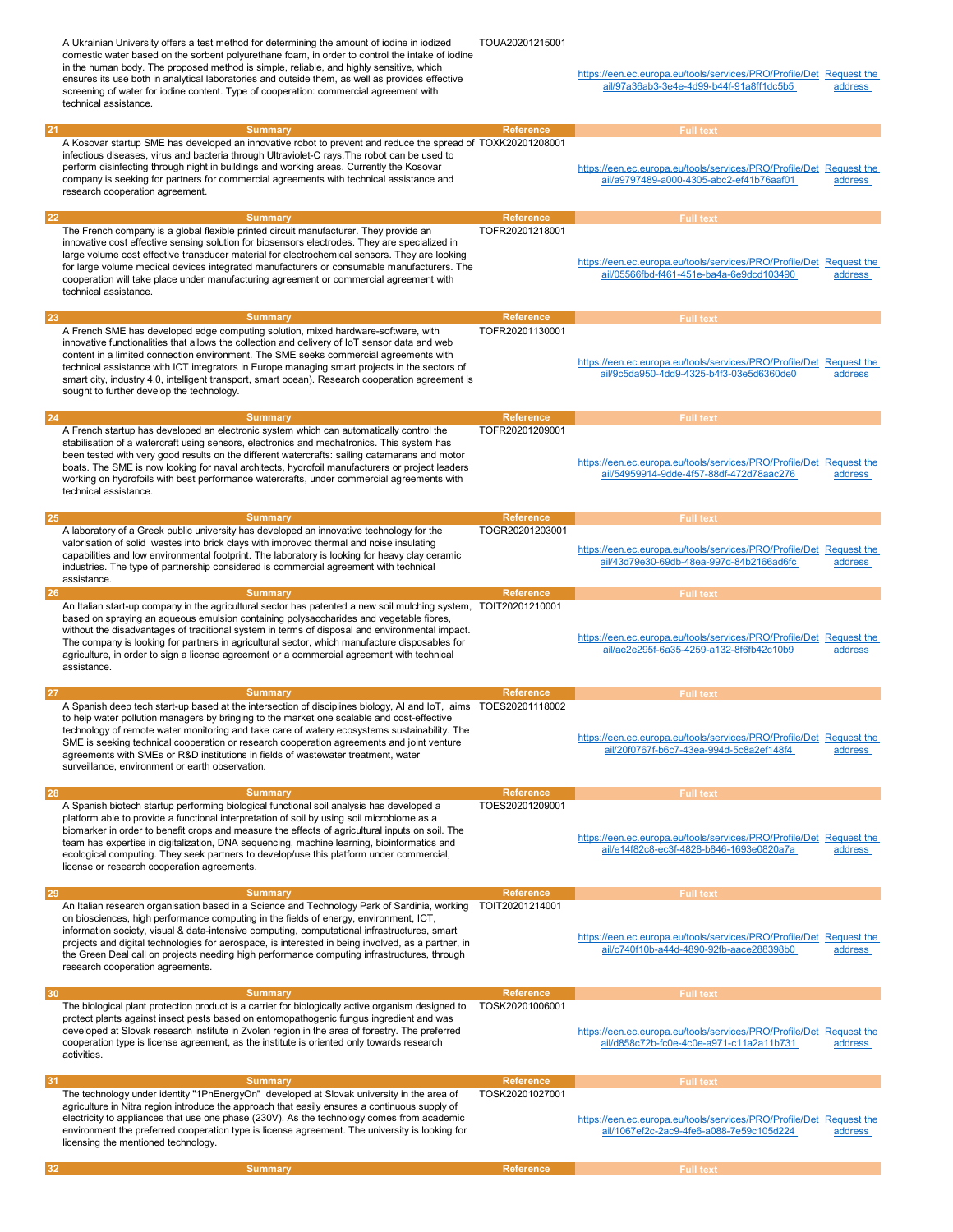A Ukrainian University offers a test method for determining the amount of iodine in iodized domestic water based on the sorbent polyurethane foam, in order to control the intake of iodine in the human body. The proposed method is simple, reliable, and highly sensitive, which ensures its use both in analytical laboratories and outside them, as well as provides effective screening of water for iodine content. Type of cooperation: commercial agreement with technical assistance. TOUA20201215001 https://een.ec.europa.eu/tools/services/PRO/Profile/Det Request the ail/97a36ab3-3e4e-4d99-b44f-91a8ff1dc5b5 address 21 Summary Reference Full text Full text (Summary Reference Full text (Summary Reference Full text (Summary Reference  $R$ A Kosovar startup SME has developed an innovative robot to prevent and reduce the spread of TOXK20201208001 infectious diseases, virus and bacteria through Ultraviolet-C rays.The robot can be used to perform disinfecting through night in buildings and working areas. Currently the Kosovar company is seeking for partners for commercial agreements with technical assistance and research cooperation agreement. https://een.ec.europa.eu/tools/services/PRO/Profile/Det Request the ail/a9797489-a000-4305-abc2-ef41b76aaf01 address 22 Summary Reference Full text Full text Application of the Reference Full text Application of the Reference Full text Application of the Reference Full text Application of the Reference  $\mathbb{R}^n$ The French company is a global flexible printed circuit manufacturer. They provide an innovative cost effective sensing solution for biosensors electrodes. They are specialized in large volume cost effective transducer material for electrochemical sensors. They are looking for large volume medical devices integrated manufacturers or consumable manufacturers. The cooperation will take place under manufacturing agreement or commercial agreement with technical assistance. TOFR20201218001 https://een.ec.europa.eu/tools/services/PRO/Profile/Det Request the ail/05566fbd-f461-451e-ba4a-6e9dcd103490 address 23 Summary Reference Full text Full text (Capital Summary Reference Full text (Capital Summary Reference Full text A French SME has developed edge computing solution, mixed hardware-software, with innovative functionalities that allows the collection and delivery of IoT sensor data and web content in a limited connection environment. The SME seeks commercial agreements with technical assistance with ICT integrators in Europe managing smart projects in the sectors of smart city, industry 4.0, intelligent transport, smart ocean). Research cooperation agreement is sought to further develop the technology. TOFR20201130001 https://een.ec.europa.eu/tools/services/PRO/Profile/Det Request the ail/9c5da950-4dd9-4325-b4f3-03e5d6360de0 address 24 Summary Reference Full text Full text Assembly Reference Full text Assembly Reference Full text Assembly Reference A French startup has developed an electronic system which can automatically control the stabilisation of a watercraft using sensors, electronics and mechatronics. This system has been tested with very good results on the different watercrafts: sailing catamarans and motor boats. The SME is now looking for naval architects, hydrofoil manufacturers or project leaders working on hydrofoils with best performance watercrafts, under commercial agreements with technical assistance. TOFR20201209001 https://een.ec.europa.eu/tools/services/PRO/Profile/Det Request the ail/54959914-9dde-4f57-88df-472d78aac276 address 25 Summary Reference Full text Full text (Capital Summary Reference Full text (Capital Summary Reference Full text A laboratory of a Greek public university has developed an innovative technology for the valorisation of solid wastes into brick clays with improved thermal and noise insulating capabilities and low environmental footprint. The laboratory is looking for heavy clay ceramic industries. The type of partnership considered is commercial agreement with technical assistance. TOGR20201203001 https://een.ec.europa.eu/tools/services/PRO/Profile/Det Request the ail/43d79e30-69db-48ea-997d-84b2166ad6fc address 26 Summary Reference Full text Full text (Summary Reference Full text (Summary Reference Full text (Summary Reference  $R$ An Italian start-up company in the agricultural sector has patented a new soil mulching system, TOIT20201210001 based on spraying an aqueous emulsion containing polysaccharides and vegetable fibres, without the disadvantages of traditional system in terms of disposal and environmental impact. The company is looking for partners in agricultural sector, which manufacture disposables for agriculture, in order to sign a license agreement or a commercial agreement with technical assistance. https://een.ec.europa.eu/tools/services/PRO/Profile/Det Request the ail/ae2e295f-6a35-4259-a132-8f6fb42c10b9 address 27 Summary Reference Full text Full text Application of the Reference Full text Application of the Reference Full text Application of the Reference Full text Application of the Reference  $\mathcal{L}$ A Spanish deep tech start-up based at the intersection of disciplines biology, AI and IoT, aims to help water pollution managers by bringing to the market one scalable and cost-effective technology of remote water monitoring and take care of watery ecosystems sustainability. The SME is seeking technical cooperation or research cooperation agreements and joint venture agreements with SMEs or R&D institutions in fields of wastewater treatment, water surveillance, environment or earth observation. TOES20201118002 https://een.ec.europa.eu/tools/services/PRO/Profile/Det Request the ail/20f0767f-b6c7-43ea-994d-5c8a2ef148f4 address 28 Summary Reference Full text Full text (Capital Summary Reference Full text (Capital Summary Reference Full text A Spanish biotech startup performing biological functional soil analysis has developed a platform able to provide a functional interpretation of soil by using soil microbiome as a biomarker in order to benefit crops and measure the effects of agricultural inputs on soil. The team has expertise in digitalization, DNA sequencing, machine learning, bioinformatics and ecological computing. They seek partners to develop/use this platform under commercial, license or research cooperation agreements. TOES20201209001 https://een.ec.europa.eu/tools/services/PRO/Profile/Det Request the ail/e14f82c8-ec3f-4828-b846-1693e0820a7a address 29 Summary Reference Full text Full text (Apple of the Summary Reference Full text (Apple of the Full text (Apple of the Summary Reference  $\sim$  Full text (Apple of the Summary Reference of the Summary Reference of the Summ An Italian research organisation based in a Science and Technology Park of Sardinia, working on biosciences, high performance computing in the fields of energy, environment, ICT, information society, visual & data-intensive computing, computational infrastructures, smart projects and digital technologies for aerospace, is interested in being involved, as a partner, in the Green Deal call on projects needing high performance computing infrastructures, through research cooperation agreements. TOIT20201214001 https://een.ec.europa.eu/tools/services/PRO/Profile/Det Request the ail/c740f10b-a44d-4890-92fb-aace288398b0 address 30 Summary Reference Full text Full text (Summary Reference Full text (Summary Reference Full text (Summary Reference  $R$ The biological plant protection product is a carrier for biologically active organism designed to protect plants against insect pests based on entomopathogenic fungus ingredient and was developed at Slovak research institute in Zvolen region in the area of forestry. The preferred cooperation type is license agreement, as the institute is oriented only towards research activities. TOSK20201006001 https://een.ec.europa.eu/tools/services/PRO/Profile/Det Request the ail/d858c72b-fc0e-4c0e-a971-c11a2a11b731 address 31 Summary Reference Full text Full text (Summary Reference Full text (Summary Reference Full text (Summary Reference Full text (Summary Reference  $R$ The technology under identity "1PhEnergyOn" developed at Slovak university in the area of agriculture in Nitra region introduce the approach that easily ensures a continuous supply of electricity to appliances that use one phase (230V). As the technology comes from academic environment the preferred cooperation type is license agreement. The university is looking for licensing the mentioned technology. TOSK20201027001 https://een.ec.europa.eu/tools/services/PRO/Profile/Det Request the ail/1067ef2c-2ac9-4fe6-a088-7e59c105d224 address 32 Summary Reference Full text (Summary Reference Full text (Summary Reference Full text (Summary Reference Full text (Summary Reference  $R$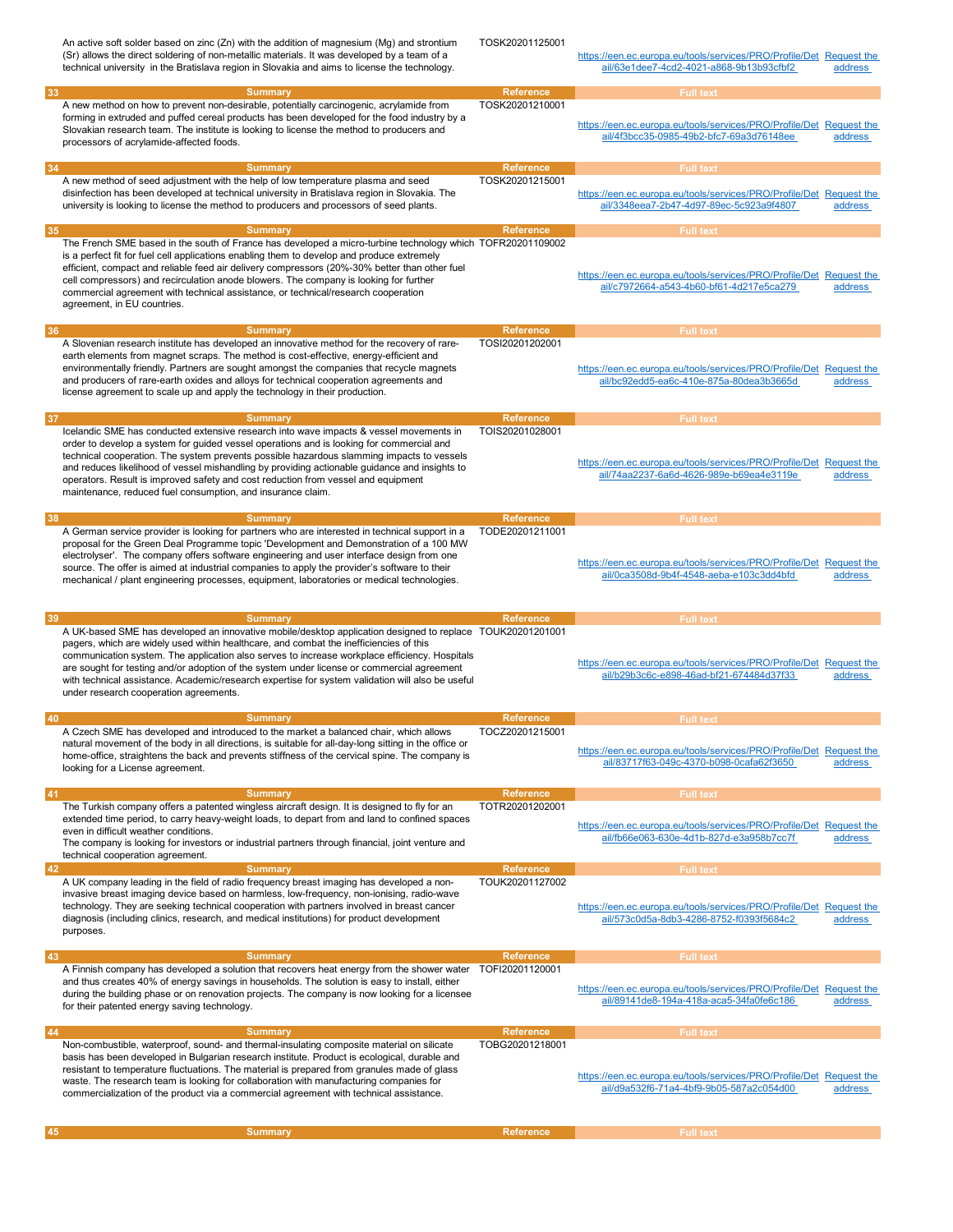|    | An active soft solder based on zinc (Zn) with the addition of magnesium (Mg) and strontium<br>(Sr) allows the direct soldering of non-metallic materials. It was developed by a team of a<br>technical university in the Bratislava region in Slovakia and aims to license the technology.                                                                                                                                                                                                                                                       | TOSK20201125001                     | https://een.ec.europa.eu/tools/services/PRO/Profile/Det Request the<br>ail/63e1dee7-4cd2-4021-a868-9b13b93cfbf2 | address                              |
|----|--------------------------------------------------------------------------------------------------------------------------------------------------------------------------------------------------------------------------------------------------------------------------------------------------------------------------------------------------------------------------------------------------------------------------------------------------------------------------------------------------------------------------------------------------|-------------------------------------|-----------------------------------------------------------------------------------------------------------------|--------------------------------------|
| 33 | <b>Summary</b>                                                                                                                                                                                                                                                                                                                                                                                                                                                                                                                                   | Reference                           | <b>Full text</b>                                                                                                |                                      |
|    | A new method on how to prevent non-desirable, potentially carcinogenic, acrylamide from<br>forming in extruded and puffed cereal products has been developed for the food industry by a<br>Slovakian research team. The institute is looking to license the method to producers and<br>processors of acrylamide-affected foods.                                                                                                                                                                                                                  | TOSK20201210001                     | https://een.ec.europa.eu/tools/services/PRO/Profile/Det<br>ail/4f3bcc35-0985-49b2-bfc7-69a3d76148ee             | <b>Request the</b><br>address        |
| 34 | <b>Summary</b>                                                                                                                                                                                                                                                                                                                                                                                                                                                                                                                                   | <b>Reference</b>                    | <b>Full text</b>                                                                                                |                                      |
|    | A new method of seed adjustment with the help of low temperature plasma and seed<br>disinfection has been developed at technical university in Bratislava region in Slovakia. The<br>university is looking to license the method to producers and processors of seed plants.                                                                                                                                                                                                                                                                     | TOSK20201215001                     | https://een.ec.europa.eu/tools/services/PRO/Profile/Det Request the<br>ail/3348eea7-2b47-4d97-89ec-5c923a9f4807 | address                              |
| 35 | <b>Summary</b>                                                                                                                                                                                                                                                                                                                                                                                                                                                                                                                                   | <b>Reference</b>                    | <b>Full text</b>                                                                                                |                                      |
|    | The French SME based in the south of France has developed a micro-turbine technology which TOFR20201109002<br>is a perfect fit for fuel cell applications enabling them to develop and produce extremely<br>efficient, compact and reliable feed air delivery compressors (20%-30% better than other fuel<br>cell compressors) and recirculation anode blowers. The company is looking for further<br>commercial agreement with technical assistance, or technical/research cooperation<br>agreement, in EU countries.                           |                                     | https://een.ec.europa.eu/tools/services/PRO/Profile/Det Request the<br>ail/c7972664-a543-4b60-bf61-4d217e5ca279 | address                              |
| 36 | <b>Summary</b>                                                                                                                                                                                                                                                                                                                                                                                                                                                                                                                                   | <b>Reference</b>                    | <b>Full text</b>                                                                                                |                                      |
|    | A Slovenian research institute has developed an innovative method for the recovery of rare-<br>earth elements from magnet scraps. The method is cost-effective, energy-efficient and<br>environmentally friendly. Partners are sought amongst the companies that recycle magnets<br>and producers of rare-earth oxides and alloys for technical cooperation agreements and<br>license agreement to scale up and apply the technology in their production.                                                                                        | TOSI20201202001                     | https://een.ec.europa.eu/tools/services/PRO/Profile/Det<br>ail/bc92edd5-ea6c-410e-875a-80dea3b3665d             | <b>Request the</b><br>address        |
| 37 | <b>Summary</b><br>Icelandic SME has conducted extensive research into wave impacts & vessel movements in                                                                                                                                                                                                                                                                                                                                                                                                                                         | <b>Reference</b><br>TOIS20201028001 | <b>Full text</b>                                                                                                |                                      |
|    | order to develop a system for guided vessel operations and is looking for commercial and<br>technical cooperation. The system prevents possible hazardous slamming impacts to vessels<br>and reduces likelihood of vessel mishandling by providing actionable quidance and insights to<br>operators. Result is improved safety and cost reduction from vessel and equipment<br>maintenance, reduced fuel consumption, and insurance claim.                                                                                                       |                                     | https://een.ec.europa.eu/tools/services/PRO/Profile/Det Request the<br>ail/74aa2237-6a6d-4626-989e-b69ea4e3119e | address                              |
| 38 | <b>Summary</b>                                                                                                                                                                                                                                                                                                                                                                                                                                                                                                                                   | <b>Reference</b>                    | <b>Full text</b>                                                                                                |                                      |
|    | A German service provider is looking for partners who are interested in technical support in a<br>proposal for the Green Deal Programme topic 'Development and Demonstration of a 100 MW                                                                                                                                                                                                                                                                                                                                                         | TODE20201211001                     |                                                                                                                 |                                      |
|    | electrolyser'. The company offers software engineering and user interface design from one<br>source. The offer is aimed at industrial companies to apply the provider's software to their<br>mechanical / plant engineering processes, equipment, laboratories or medical technologies.                                                                                                                                                                                                                                                          |                                     | https://een.ec.europa.eu/tools/services/PRO/Profile/Det Request the<br>ail/0ca3508d-9b4f-4548-aeba-e103c3dd4bfd | address                              |
|    |                                                                                                                                                                                                                                                                                                                                                                                                                                                                                                                                                  |                                     |                                                                                                                 |                                      |
| 39 | <b>Summary</b>                                                                                                                                                                                                                                                                                                                                                                                                                                                                                                                                   | <b>Reference</b>                    | <b>Full text</b>                                                                                                |                                      |
|    | A UK-based SME has developed an innovative mobile/desktop application designed to replace TOUK20201201001<br>pagers, which are widely used within healthcare, and combat the inefficiencies of this<br>communication system. The application also serves to increase workplace efficiency. Hospitals<br>are sought for testing and/or adoption of the system under license or commercial agreement<br>with technical assistance. Academic/research expertise for system validation will also be useful<br>under research cooperation agreements. |                                     | https://een.ec.europa.eu/tools/services/PRO/Profile/Det Request the<br>ail/b29b3c6c-e898-46ad-bf21-674484d37f33 | address                              |
| 40 | <b>Summary</b>                                                                                                                                                                                                                                                                                                                                                                                                                                                                                                                                   | Reference                           | <b>Full text</b>                                                                                                |                                      |
|    | A Czech SME has developed and introduced to the market a balanced chair, which allows<br>natural movement of the body in all directions, is suitable for all-day-long sitting in the office or<br>home-office, straightens the back and prevents stiffness of the cervical spine. The company is<br>looking for a License agreement.                                                                                                                                                                                                             | TOCZ20201215001                     | https://een.ec.europa.eu/tools/services/PRO/Profile/Det Request the<br>ail/83717f63-049c-4370-b098-0cafa62f3650 | address                              |
| 41 | <b>Summary</b>                                                                                                                                                                                                                                                                                                                                                                                                                                                                                                                                   | <b>Reference</b>                    | <b>Full text</b>                                                                                                |                                      |
|    | The Turkish company offers a patented wingless aircraft design. It is designed to fly for an<br>extended time period, to carry heavy-weight loads, to depart from and land to confined spaces<br>even in difficult weather conditions.<br>The company is looking for investors or industrial partners through financial, joint venture and<br>technical cooperation agreement.                                                                                                                                                                   | TOTR20201202001                     | https://een.ec.europa.eu/tools/services/PRO/Profile/Det<br>ail/fb66e063-630e-4d1b-827d-e3a958b7cc7f             | <b>Request the</b><br><b>address</b> |
| 42 | <b>Summary</b>                                                                                                                                                                                                                                                                                                                                                                                                                                                                                                                                   | <b>Reference</b>                    | <b>Full text</b>                                                                                                |                                      |
|    | A UK company leading in the field of radio frequency breast imaging has developed a non-<br>invasive breast imaging device based on harmless, low-frequency, non-ionising, radio-wave<br>technology. They are seeking technical cooperation with partners involved in breast cancer<br>diagnosis (including clinics, research, and medical institutions) for product development<br>purposes.                                                                                                                                                    | TOUK20201127002                     | https://een.ec.europa.eu/tools/services/PRO/Profile/Det<br>ail/573c0d5a-8db3-4286-8752-f0393f5684c2             | <b>Request the</b><br>address        |
| 43 | <b>Summary</b>                                                                                                                                                                                                                                                                                                                                                                                                                                                                                                                                   | <b>Reference</b>                    | <b>Full text</b>                                                                                                |                                      |
|    | A Finnish company has developed a solution that recovers heat energy from the shower water<br>and thus creates 40% of energy savings in households. The solution is easy to install, either<br>during the building phase or on renovation projects. The company is now looking for a licensee<br>for their patented energy saving technology.                                                                                                                                                                                                    | TOFI20201120001                     | https://een.ec.europa.eu/tools/services/PRO/Profile/Det Request the<br>ail/89141de8-194a-418a-aca5-34fa0fe6c186 | address                              |
| 44 | <b>Summary</b>                                                                                                                                                                                                                                                                                                                                                                                                                                                                                                                                   | <b>Reference</b>                    | <b>Full text</b>                                                                                                |                                      |
|    | Non-combustible, waterproof, sound- and thermal-insulating composite material on silicate<br>basis has been developed in Bulgarian research institute. Product is ecological, durable and<br>resistant to temperature fluctuations. The material is prepared from granules made of glass<br>waste. The research team is looking for collaboration with manufacturing companies for<br>commercialization of the product via a commercial agreement with technical assistance.                                                                     | TOBG20201218001                     | https://een.ec.europa.eu/tools/services/PRO/Profile/Det Request the<br>ail/d9a532f6-71a4-4bf9-9b05-587a2c054d00 | address                              |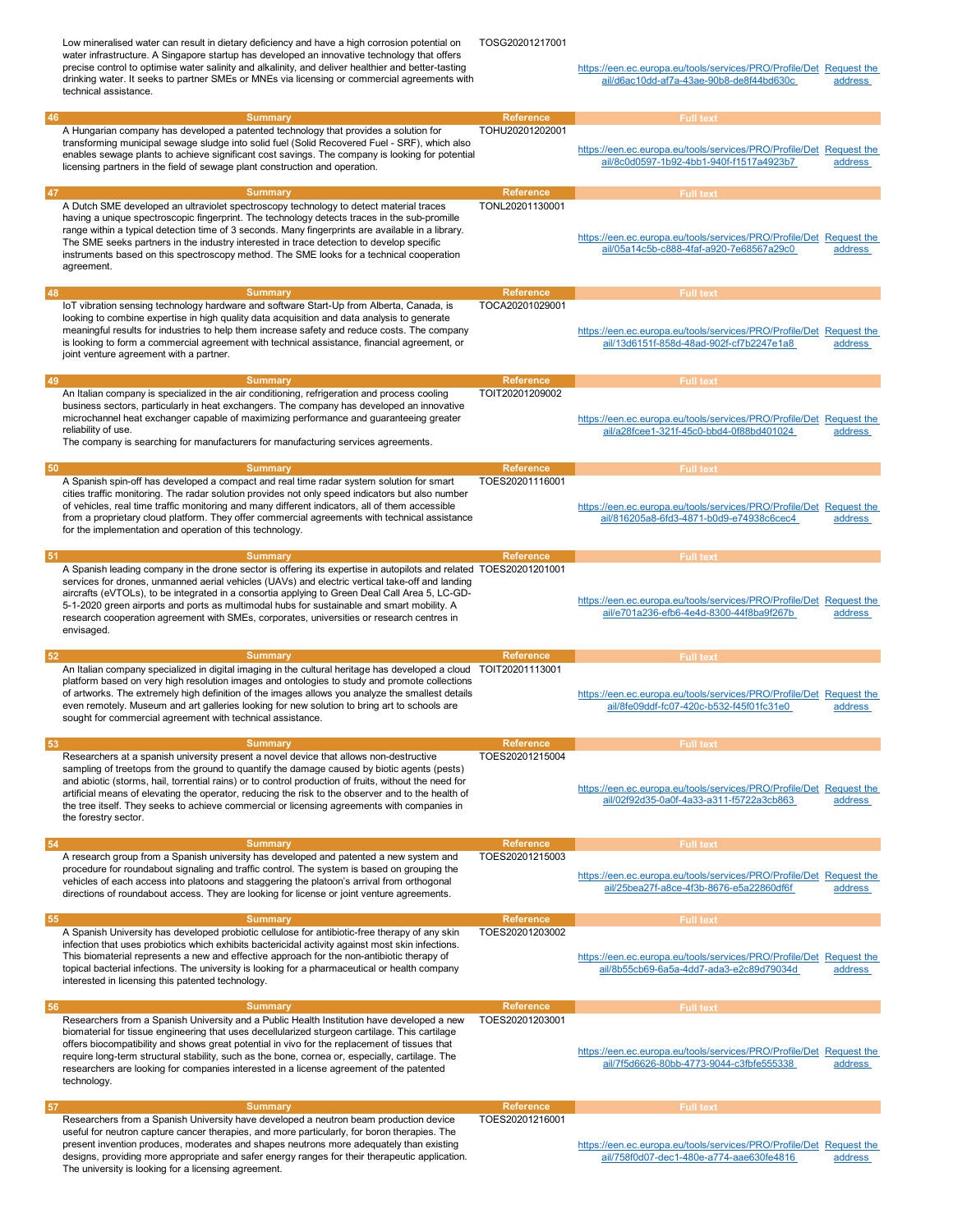|    | Low mineralised water can result in dietary deficiency and have a high corrosion potential on<br>water infrastructure. A Singapore startup has developed an innovative technology that offers<br>precise control to optimise water salinity and alkalinity, and deliver healthier and better-tasting<br>drinking water. It seeks to partner SMEs or MNEs via licensing or commercial agreements with<br>technical assistance.                                                                                                   | TOSG20201217001                     | https://een.ec.europa.eu/tools/services/PRO/Profile/Det Request the<br>ail/d6ac10dd-af7a-43ae-90b8-de8f44bd630c                     | address |
|----|---------------------------------------------------------------------------------------------------------------------------------------------------------------------------------------------------------------------------------------------------------------------------------------------------------------------------------------------------------------------------------------------------------------------------------------------------------------------------------------------------------------------------------|-------------------------------------|-------------------------------------------------------------------------------------------------------------------------------------|---------|
| 46 | <b>Summary</b>                                                                                                                                                                                                                                                                                                                                                                                                                                                                                                                  | <b>Reference</b>                    | <b>Full text</b>                                                                                                                    |         |
|    | A Hungarian company has developed a patented technology that provides a solution for                                                                                                                                                                                                                                                                                                                                                                                                                                            | TOHU20201202001                     |                                                                                                                                     |         |
|    | transforming municipal sewage sludge into solid fuel (Solid Recovered Fuel - SRF), which also<br>enables sewage plants to achieve significant cost savings. The company is looking for potential<br>licensing partners in the field of sewage plant construction and operation.                                                                                                                                                                                                                                                 |                                     | https://een.ec.europa.eu/tools/services/PRO/Profile/Det Request the<br>ail/8c0d0597-1b92-4bb1-940f-f1517a4923b7                     | address |
| 47 | <b>Summary</b>                                                                                                                                                                                                                                                                                                                                                                                                                                                                                                                  | <b>Reference</b>                    | <b>Full text</b>                                                                                                                    |         |
|    | A Dutch SME developed an ultraviolet spectroscopy technology to detect material traces<br>having a unique spectroscopic fingerprint. The technology detects traces in the sub-promille<br>range within a typical detection time of 3 seconds. Many fingerprints are available in a library.<br>The SME seeks partners in the industry interested in trace detection to develop specific<br>instruments based on this spectroscopy method. The SME looks for a technical cooperation<br>agreement.                               | TONL20201130001                     | https://een.ec.europa.eu/tools/services/PRO/Profile/Det Request the<br>ail/05a14c5b-c888-4faf-a920-7e68567a29c0                     | address |
| 48 | <b>Summary</b><br>IoT vibration sensing technology hardware and software Start-Up from Alberta, Canada, is<br>looking to combine expertise in high quality data acquisition and data analysis to generate<br>meaningful results for industries to help them increase safety and reduce costs. The company<br>is looking to form a commercial agreement with technical assistance, financial agreement, or                                                                                                                       | <b>Reference</b><br>TOCA20201029001 | <b>Full text</b><br>https://een.ec.europa.eu/tools/services/PRO/Profile/Det Request the<br>ail/13d6151f-858d-48ad-902f-cf7b2247e1a8 | address |
|    | joint venture agreement with a partner.                                                                                                                                                                                                                                                                                                                                                                                                                                                                                         |                                     |                                                                                                                                     |         |
| 49 | <b>Summary</b>                                                                                                                                                                                                                                                                                                                                                                                                                                                                                                                  | <b>Reference</b>                    | <b>Full text</b>                                                                                                                    |         |
|    | An Italian company is specialized in the air conditioning, refrigeration and process cooling<br>business sectors, particularly in heat exchangers. The company has developed an innovative<br>microchannel heat exchanger capable of maximizing performance and guaranteeing greater<br>reliability of use.<br>The company is searching for manufacturers for manufacturing services agreements.                                                                                                                                | TOIT20201209002                     | https://een.ec.europa.eu/tools/services/PRO/Profile/Det Request the<br>ail/a28fcee1-321f-45c0-bbd4-0f88bd401024                     | address |
| 50 | <b>Summary</b>                                                                                                                                                                                                                                                                                                                                                                                                                                                                                                                  | <b>Reference</b>                    | <b>Full text</b>                                                                                                                    |         |
|    | A Spanish spin-off has developed a compact and real time radar system solution for smart<br>cities traffic monitoring. The radar solution provides not only speed indicators but also number<br>of vehicles, real time traffic monitoring and many different indicators, all of them accessible<br>from a proprietary cloud platform. They offer commercial agreements with technical assistance<br>for the implementation and operation of this technology.                                                                    | TOES20201116001                     | https://een.ec.europa.eu/tools/services/PRO/Profile/Det Request the<br>ail/816205a8-6fd3-4871-b0d9-e74938c6cec4                     | address |
| 51 | <b>Summary</b>                                                                                                                                                                                                                                                                                                                                                                                                                                                                                                                  | <b>Reference</b>                    | <b>Full text</b>                                                                                                                    |         |
|    | A Spanish leading company in the drone sector is offering its expertise in autopilots and related TOES20201201001<br>services for drones, unmanned aerial vehicles (UAVs) and electric vertical take-off and landing<br>aircrafts (eVTOLs), to be integrated in a consortia applying to Green Deal Call Area 5, LC-GD-<br>5-1-2020 green airports and ports as multimodal hubs for sustainable and smart mobility. A<br>research cooperation agreement with SMEs, corporates, universities or research centres in<br>envisaged. |                                     | https://een.ec.europa.eu/tools/services/PRO/Profile/Det Request the<br>ail/e701a236-efb6-4e4d-8300-44f8ba9f267b                     | address |
| 52 | <b>Summary</b>                                                                                                                                                                                                                                                                                                                                                                                                                                                                                                                  | <b>Reference</b>                    | <b>Full text</b>                                                                                                                    |         |
|    | An Italian company specialized in digital imaging in the cultural heritage has developed a cloud TOIT20201113001<br>platform based on very high resolution images and ontologies to study and promote collections<br>of artworks. The extremely high definition of the images allows you analyze the smallest details<br>even remotely. Museum and art galleries looking for new solution to bring art to schools are<br>sought for commercial agreement with technical assistance.                                             |                                     | https://een.ec.europa.eu/tools/services/PRO/Profile/Det Request the<br>ail/8fe09ddf-fc07-420c-b532-f45f01fc31e0                     | address |
| 53 | <b>Summary</b>                                                                                                                                                                                                                                                                                                                                                                                                                                                                                                                  | <b>Reference</b>                    | <b>Full text</b>                                                                                                                    |         |
|    | Researchers at a spanish university present a novel device that allows non-destructive<br>sampling of treetops from the ground to quantify the damage caused by biotic agents (pests)<br>and abiotic (storms, hail, torrential rains) or to control production of fruits, without the need for<br>artificial means of elevating the operator, reducing the risk to the observer and to the health of<br>the tree itself. They seeks to achieve commercial or licensing agreements with companies in<br>the forestry sector.     | TOES20201215004                     | https://een.ec.europa.eu/tools/services/PRO/Profile/Det Request the<br>ail/02f92d35-0a0f-4a33-a311-f5722a3cb863                     | address |
| 54 | <b>Summary</b>                                                                                                                                                                                                                                                                                                                                                                                                                                                                                                                  | <b>Reference</b>                    | <b>Full text</b>                                                                                                                    |         |
|    | A research group from a Spanish university has developed and patented a new system and<br>procedure for roundabout signaling and traffic control. The system is based on grouping the<br>vehicles of each access into platoons and staggering the platoon's arrival from orthogonal<br>directions of roundabout access. They are looking for license or joint venture agreements.                                                                                                                                               | TOES20201215003                     | https://een.ec.europa.eu/tools/services/PRO/Profile/Det Request the<br>ail/25bea27f-a8ce-4f3b-8676-e5a22860df6f                     | address |
| 55 | <b>Summary</b>                                                                                                                                                                                                                                                                                                                                                                                                                                                                                                                  | <b>Reference</b>                    | <b>Full text</b>                                                                                                                    |         |
|    | A Spanish University has developed probiotic cellulose for antibiotic-free therapy of any skin<br>infection that uses probiotics which exhibits bactericidal activity against most skin infections.<br>This biomaterial represents a new and effective approach for the non-antibiotic therapy of<br>topical bacterial infections. The university is looking for a pharmaceutical or health company<br>interested in licensing this patented technology.                                                                        | TOES20201203002                     | https://een.ec.europa.eu/tools/services/PRO/Profile/Det Request the<br>ail/8b55cb69-6a5a-4dd7-ada3-e2c89d79034d                     | address |
| 56 | <b>Summary</b>                                                                                                                                                                                                                                                                                                                                                                                                                                                                                                                  | <b>Reference</b>                    | <b>Full text</b>                                                                                                                    |         |
|    | Researchers from a Spanish University and a Public Health Institution have developed a new<br>biomaterial for tissue engineering that uses decellularized sturgeon cartilage. This cartilage<br>offers biocompatibility and shows great potential in vivo for the replacement of tissues that<br>require long-term structural stability, such as the bone, cornea or, especially, cartilage. The<br>researchers are looking for companies interested in a license agreement of the patented<br>technology.                      | TOES20201203001                     | https://een.ec.europa.eu/tools/services/PRO/Profile/Det Request the<br>ail/7f5d6626-80bb-4773-9044-c3fbfe555338                     | address |
|    | <b>Summary</b>                                                                                                                                                                                                                                                                                                                                                                                                                                                                                                                  | <b>Reference</b>                    |                                                                                                                                     |         |
| 57 | Researchers from a Spanish University have developed a neutron beam production device<br>useful for neutron capture cancer therapies, and more particularly, for boron therapies. The<br>present invention produces, moderates and shapes neutrons more adequately than existing<br>designs, providing more appropriate and safer energy ranges for their therapeutic application.<br>The university is looking for a licensing agreement.                                                                                      | TOES20201216001                     | <b>Full text</b><br>https://een.ec.europa.eu/tools/services/PRO/Profile/Det Request the<br>ail/758f0d07-dec1-480e-a774-aae630fe4816 | address |